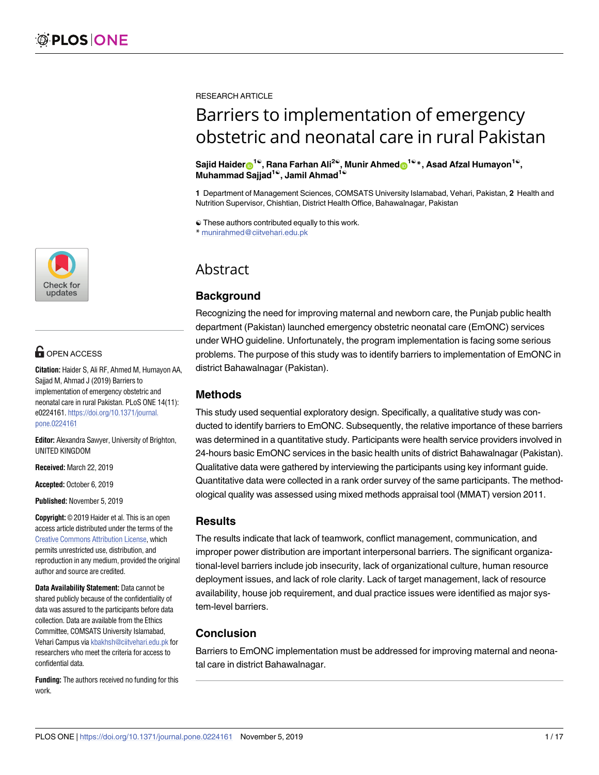

# **G** OPEN ACCESS

**Citation:** Haider S, Ali RF, Ahmed M, Humayon AA, Sajjad M, Ahmad J (2019) Barriers to implementation of emergency obstetric and neonatal care in rural Pakistan. PLoS ONE 14(11): e0224161. [https://doi.org/10.1371/journal.](https://doi.org/10.1371/journal.pone.0224161) [pone.0224161](https://doi.org/10.1371/journal.pone.0224161)

**Editor:** Alexandra Sawyer, University of Brighton, UNITED KINGDOM

**Received:** March 22, 2019

**Accepted:** October 6, 2019

**Published:** November 5, 2019

**Copyright:** © 2019 Haider et al. This is an open access article distributed under the terms of the Creative Commons [Attribution](http://creativecommons.org/licenses/by/4.0/) License, which permits unrestricted use, distribution, and reproduction in any medium, provided the original author and source are credited.

**Data Availability Statement:** Data cannot be shared publicly because of the confidentiality of data was assured to the participants before data collection. Data are available from the Ethics Committee, COMSATS University Islamabad, Vehari Campus via [kbakhsh@ciitvehari.edu.pk](mailto:kbakhsh@ciitvehari.edu.pk) for researchers who meet the criteria for access to confidential data.

**Funding:** The authors received no funding for this work.

RESEARCH ARTICLE

# Barriers to implementation of emergency obstetric and neonatal care in rural Pakistan

 $\delta$ **Sajid Haider**<sup>1©</sup>, **Rana Farhan**  $\delta$ Ali<sup>2©</sup>, Munir Ahmed<sub><sup>1</sub>O</sup><sup>1®</sup>, Asad Afzal Humayon<sup>1©</sup>,</sub> **Muhammad Sajjad1**☯**, Jamil Ahmad1**☯

**1** Department of Management Sciences, COMSATS University Islamabad, Vehari, Pakistan, **2** Health and Nutrition Supervisor, Chishtian, District Health Office, Bahawalnagar, Pakistan

☯ These authors contributed equally to this work.

\* munirahmed@ciitvehari.edu.pk

# Abstract

# **Background**

Recognizing the need for improving maternal and newborn care, the Punjab public health department (Pakistan) launched emergency obstetric neonatal care (EmONC) services under WHO guideline. Unfortunately, the program implementation is facing some serious problems. The purpose of this study was to identify barriers to implementation of EmONC in district Bahawalnagar (Pakistan).

# **Methods**

This study used sequential exploratory design. Specifically, a qualitative study was conducted to identify barriers to EmONC. Subsequently, the relative importance of these barriers was determined in a quantitative study. Participants were health service providers involved in 24-hours basic EmONC services in the basic health units of district Bahawalnagar (Pakistan). Qualitative data were gathered by interviewing the participants using key informant guide. Quantitative data were collected in a rank order survey of the same participants. The methodological quality was assessed using mixed methods appraisal tool (MMAT) version 2011.

# **Results**

The results indicate that lack of teamwork, conflict management, communication, and improper power distribution are important interpersonal barriers. The significant organizational-level barriers include job insecurity, lack of organizational culture, human resource deployment issues, and lack of role clarity. Lack of target management, lack of resource availability, house job requirement, and dual practice issues were identified as major system-level barriers.

# **Conclusion**

Barriers to EmONC implementation must be addressed for improving maternal and neonatal care in district Bahawalnagar.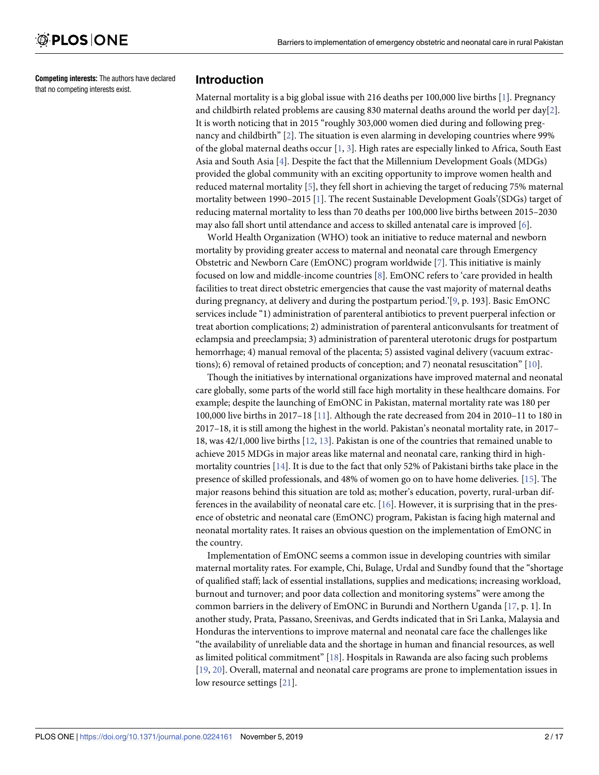<span id="page-1-0"></span>**Competing interests:** The authors have declared that no competing interests exist.

# **Introduction**

Maternal mortality is a big global issue with 216 deaths per 100,000 live births [\[1\]](#page-14-0). Pregnancy and childbirth related problems are causing 830 maternal deaths around the world per day[\[2\]](#page-14-0). It is worth noticing that in 2015 "roughly 303,000 women died during and following pregnancy and childbirth" [[2\]](#page-14-0). The situation is even alarming in developing countries where 99% of the global maternal deaths occur [\[1,](#page-14-0) [3](#page-14-0)]. High rates are especially linked to Africa, South East Asia and South Asia [[4](#page-14-0)]. Despite the fact that the Millennium Development Goals (MDGs) provided the global community with an exciting opportunity to improve women health and reduced maternal mortality [[5](#page-14-0)], they fell short in achieving the target of reducing 75% maternal mortality between 1990–2015 [\[1\]](#page-14-0). The recent Sustainable Development Goals'(SDGs) target of reducing maternal mortality to less than 70 deaths per 100,000 live births between 2015–2030 may also fall short until attendance and access to skilled antenatal care is improved [\[6](#page-14-0)].

World Health Organization (WHO) took an initiative to reduce maternal and newborn mortality by providing greater access to maternal and neonatal care through Emergency Obstetric and Newborn Care (EmONC) program worldwide [[7\]](#page-14-0). This initiative is mainly focused on low and middle-income countries [\[8\]](#page-14-0). EmONC refers to 'care provided in health facilities to treat direct obstetric emergencies that cause the vast majority of maternal deaths during pregnancy, at delivery and during the postpartum period.'[[9,](#page-14-0) p. 193]. Basic EmONC services include "1) administration of parenteral antibiotics to prevent puerperal infection or treat abortion complications; 2) administration of parenteral anticonvulsants for treatment of eclampsia and preeclampsia; 3) administration of parenteral uterotonic drugs for postpartum hemorrhage; 4) manual removal of the placenta; 5) assisted vaginal delivery (vacuum extractions); 6) removal of retained products of conception; and 7) neonatal resuscitation" [[10](#page-14-0)].

Though the initiatives by international organizations have improved maternal and neonatal care globally, some parts of the world still face high mortality in these healthcare domains. For example; despite the launching of EmONC in Pakistan, maternal mortality rate was 180 per 100,000 live births in 2017–18 [\[11\]](#page-14-0). Although the rate decreased from 204 in 2010–11 to 180 in 2017–18, it is still among the highest in the world. Pakistan's neonatal mortality rate, in 2017– 18, was 42/1,000 live births [\[12,](#page-14-0) [13\]](#page-14-0). Pakistan is one of the countries that remained unable to achieve 2015 MDGs in major areas like maternal and neonatal care, ranking third in highmortality countries [\[14\]](#page-14-0). It is due to the fact that only 52% of Pakistani births take place in the presence of skilled professionals, and 48% of women go on to have home deliveries. [\[15\]](#page-14-0). The major reasons behind this situation are told as; mother's education, poverty, rural-urban differences in the availability of neonatal care etc. [\[16](#page-15-0)]. However, it is surprising that in the presence of obstetric and neonatal care (EmONC) program, Pakistan is facing high maternal and neonatal mortality rates. It raises an obvious question on the implementation of EmONC in the country.

Implementation of EmONC seems a common issue in developing countries with similar maternal mortality rates. For example, Chi, Bulage, Urdal and Sundby found that the "shortage of qualified staff; lack of essential installations, supplies and medications; increasing workload, burnout and turnover; and poor data collection and monitoring systems" were among the common barriers in the delivery of EmONC in Burundi and Northern Uganda [[17](#page-15-0), p. 1]. In another study, Prata, Passano, Sreenivas, and Gerdts indicated that in Sri Lanka, Malaysia and Honduras the interventions to improve maternal and neonatal care face the challenges like "the availability of unreliable data and the shortage in human and financial resources, as well as limited political commitment" [[18](#page-15-0)]. Hospitals in Rawanda are also facing such problems [\[19,](#page-15-0) [20\]](#page-15-0). Overall, maternal and neonatal care programs are prone to implementation issues in low resource settings [[21](#page-15-0)].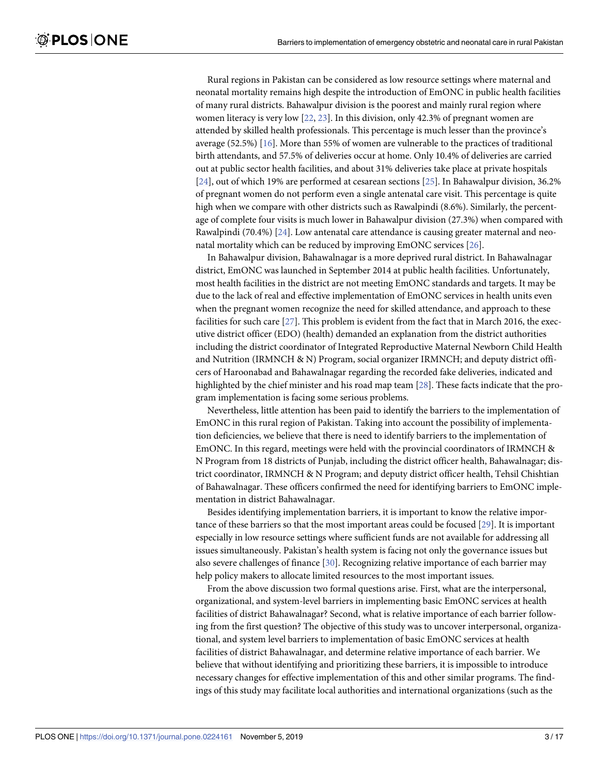<span id="page-2-0"></span>Rural regions in Pakistan can be considered as low resource settings where maternal and neonatal mortality remains high despite the introduction of EmONC in public health facilities of many rural districts. Bahawalpur division is the poorest and mainly rural region where women literacy is very low [\[22,](#page-15-0) [23\]](#page-15-0). In this division, only 42.3% of pregnant women are attended by skilled health professionals. This percentage is much lesser than the province's average (52.5%) [[16](#page-15-0)]. More than 55% of women are vulnerable to the practices of traditional birth attendants, and 57.5% of deliveries occur at home. Only 10.4% of deliveries are carried out at public sector health facilities, and about 31% deliveries take place at private hospitals [\[24\]](#page-15-0), out of which 19% are performed at cesarean sections [[25](#page-15-0)]. In Bahawalpur division, 36.2% of pregnant women do not perform even a single antenatal care visit. This percentage is quite high when we compare with other districts such as Rawalpindi (8.6%). Similarly, the percentage of complete four visits is much lower in Bahawalpur division (27.3%) when compared with Rawalpindi (70.4%) [\[24\]](#page-15-0). Low antenatal care attendance is causing greater maternal and neonatal mortality which can be reduced by improving EmONC services [[26](#page-15-0)].

In Bahawalpur division, Bahawalnagar is a more deprived rural district. In Bahawalnagar district, EmONC was launched in September 2014 at public health facilities. Unfortunately, most health facilities in the district are not meeting EmONC standards and targets. It may be due to the lack of real and effective implementation of EmONC services in health units even when the pregnant women recognize the need for skilled attendance, and approach to these facilities for such care [[27](#page-15-0)]. This problem is evident from the fact that in March 2016, the executive district officer (EDO) (health) demanded an explanation from the district authorities including the district coordinator of Integrated Reproductive Maternal Newborn Child Health and Nutrition (IRMNCH & N) Program, social organizer IRMNCH; and deputy district officers of Haroonabad and Bahawalnagar regarding the recorded fake deliveries, indicated and highlighted by the chief minister and his road map team [\[28\]](#page-15-0). These facts indicate that the program implementation is facing some serious problems.

Nevertheless, little attention has been paid to identify the barriers to the implementation of EmONC in this rural region of Pakistan. Taking into account the possibility of implementation deficiencies, we believe that there is need to identify barriers to the implementation of EmONC. In this regard, meetings were held with the provincial coordinators of IRMNCH & N Program from 18 districts of Punjab, including the district officer health, Bahawalnagar; district coordinator, IRMNCH & N Program; and deputy district officer health, Tehsil Chishtian of Bahawalnagar. These officers confirmed the need for identifying barriers to EmONC implementation in district Bahawalnagar.

Besides identifying implementation barriers, it is important to know the relative importance of these barriers so that the most important areas could be focused [\[29\]](#page-15-0). It is important especially in low resource settings where sufficient funds are not available for addressing all issues simultaneously. Pakistan's health system is facing not only the governance issues but also severe challenges of finance [[30](#page-15-0)]. Recognizing relative importance of each barrier may help policy makers to allocate limited resources to the most important issues.

From the above discussion two formal questions arise. First, what are the interpersonal, organizational, and system-level barriers in implementing basic EmONC services at health facilities of district Bahawalnagar? Second, what is relative importance of each barrier following from the first question? The objective of this study was to uncover interpersonal, organizational, and system level barriers to implementation of basic EmONC services at health facilities of district Bahawalnagar, and determine relative importance of each barrier. We believe that without identifying and prioritizing these barriers, it is impossible to introduce necessary changes for effective implementation of this and other similar programs. The findings of this study may facilitate local authorities and international organizations (such as the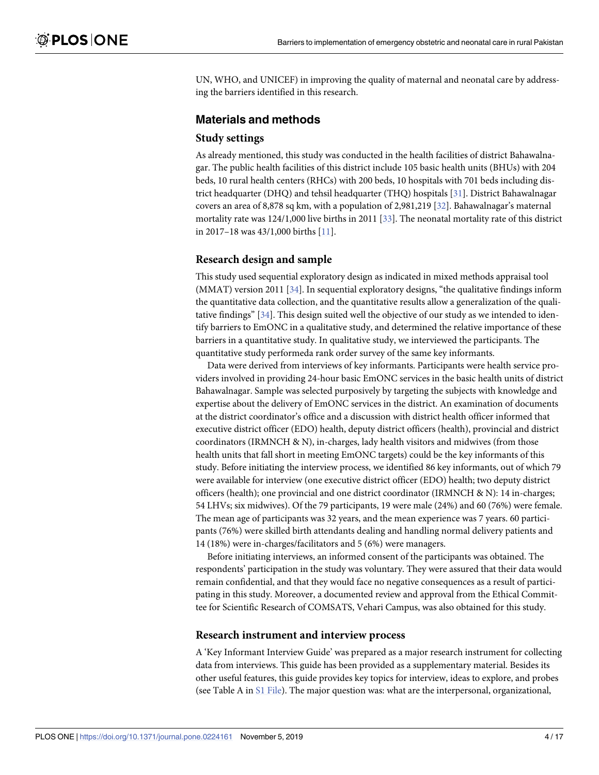<span id="page-3-0"></span>UN, WHO, and UNICEF) in improving the quality of maternal and neonatal care by addressing the barriers identified in this research.

# **Materials and methods**

### **Study settings**

As already mentioned, this study was conducted in the health facilities of district Bahawalnagar. The public health facilities of this district include 105 basic health units (BHUs) with 204 beds, 10 rural health centers (RHCs) with 200 beds, 10 hospitals with 701 beds including district headquarter (DHQ) and tehsil headquarter (THQ) hospitals [\[31\]](#page-15-0). District Bahawalnagar covers an area of 8,878 sq km, with a population of 2,981,219 [[32](#page-15-0)]. Bahawalnagar's maternal mortality rate was 124/1,000 live births in 2011 [\[33\]](#page-15-0). The neonatal mortality rate of this district in 2017–18 was 43/1,000 births [\[11\]](#page-14-0).

# **Research design and sample**

This study used sequential exploratory design as indicated in mixed methods appraisal tool (MMAT) version 2011 [\[34](#page-15-0)]. In sequential exploratory designs, "the qualitative findings inform the quantitative data collection, and the quantitative results allow a generalization of the qualitative findings" [\[34\]](#page-15-0). This design suited well the objective of our study as we intended to identify barriers to EmONC in a qualitative study, and determined the relative importance of these barriers in a quantitative study. In qualitative study, we interviewed the participants. The quantitative study performeda rank order survey of the same key informants.

Data were derived from interviews of key informants. Participants were health service providers involved in providing 24-hour basic EmONC services in the basic health units of district Bahawalnagar. Sample was selected purposively by targeting the subjects with knowledge and expertise about the delivery of EmONC services in the district. An examination of documents at the district coordinator's office and a discussion with district health officer informed that executive district officer (EDO) health, deputy district officers (health), provincial and district coordinators (IRMNCH & N), in-charges, lady health visitors and midwives (from those health units that fall short in meeting EmONC targets) could be the key informants of this study. Before initiating the interview process, we identified 86 key informants, out of which 79 were available for interview (one executive district officer (EDO) health; two deputy district officers (health); one provincial and one district coordinator (IRMNCH & N): 14 in-charges; 54 LHVs; six midwives). Of the 79 participants, 19 were male (24%) and 60 (76%) were female. The mean age of participants was 32 years, and the mean experience was 7 years. 60 participants (76%) were skilled birth attendants dealing and handling normal delivery patients and 14 (18%) were in-charges/facilitators and 5 (6%) were managers.

Before initiating interviews, an informed consent of the participants was obtained. The respondents' participation in the study was voluntary. They were assured that their data would remain confidential, and that they would face no negative consequences as a result of participating in this study. Moreover, a documented review and approval from the Ethical Committee for Scientific Research of COMSATS, Vehari Campus, was also obtained for this study.

### **Research instrument and interview process**

A 'Key Informant Interview Guide' was prepared as a major research instrument for collecting data from interviews. This guide has been provided as a supplementary material. Besides its other useful features, this guide provides key topics for interview, ideas to explore, and probes (see Table A in S1 [File\)](#page-13-0). The major question was: what are the interpersonal, organizational,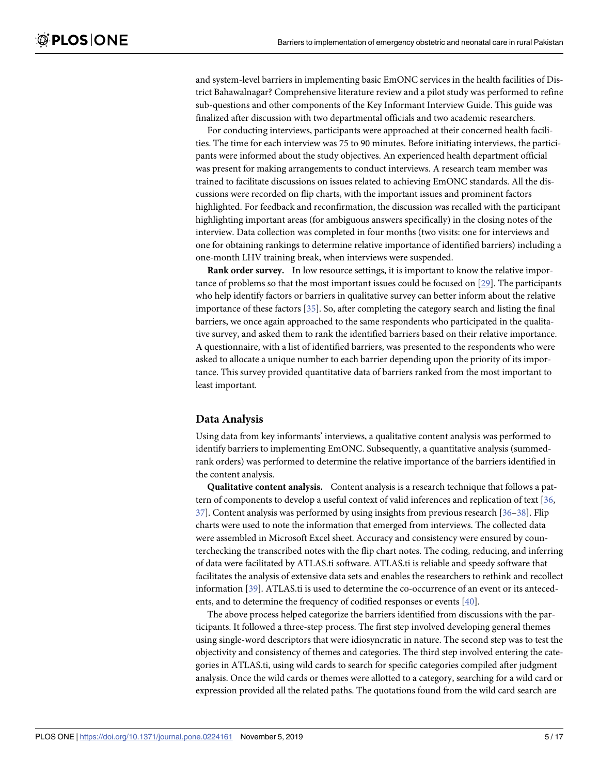<span id="page-4-0"></span>and system-level barriers in implementing basic EmONC services in the health facilities of District Bahawalnagar? Comprehensive literature review and a pilot study was performed to refine sub-questions and other components of the Key Informant Interview Guide. This guide was finalized after discussion with two departmental officials and two academic researchers.

For conducting interviews, participants were approached at their concerned health facilities. The time for each interview was 75 to 90 minutes. Before initiating interviews, the participants were informed about the study objectives. An experienced health department official was present for making arrangements to conduct interviews. A research team member was trained to facilitate discussions on issues related to achieving EmONC standards. All the discussions were recorded on flip charts, with the important issues and prominent factors highlighted. For feedback and reconfirmation, the discussion was recalled with the participant highlighting important areas (for ambiguous answers specifically) in the closing notes of the interview. Data collection was completed in four months (two visits: one for interviews and one for obtaining rankings to determine relative importance of identified barriers) including a one-month LHV training break, when interviews were suspended.

**Rank order survey.** In low resource settings, it is important to know the relative importance of problems so that the most important issues could be focused on [[29](#page-15-0)]. The participants who help identify factors or barriers in qualitative survey can better inform about the relative importance of these factors [\[35\]](#page-15-0). So, after completing the category search and listing the final barriers, we once again approached to the same respondents who participated in the qualitative survey, and asked them to rank the identified barriers based on their relative importance. A questionnaire, with a list of identified barriers, was presented to the respondents who were asked to allocate a unique number to each barrier depending upon the priority of its importance. This survey provided quantitative data of barriers ranked from the most important to least important.

### **Data Analysis**

Using data from key informants' interviews, a qualitative content analysis was performed to identify barriers to implementing EmONC. Subsequently, a quantitative analysis (summedrank orders) was performed to determine the relative importance of the barriers identified in the content analysis.

**Qualitative content analysis.** Content analysis is a research technique that follows a pattern of components to develop a useful context of valid inferences and replication of text [\[36,](#page-15-0) [37\]](#page-15-0). Content analysis was performed by using insights from previous research [[36–38\]](#page-15-0). Flip charts were used to note the information that emerged from interviews. The collected data were assembled in Microsoft Excel sheet. Accuracy and consistency were ensured by counterchecking the transcribed notes with the flip chart notes. The coding, reducing, and inferring of data were facilitated by ATLAS.ti software. ATLAS.ti is reliable and speedy software that facilitates the analysis of extensive data sets and enables the researchers to rethink and recollect information [\[39\]](#page-15-0). ATLAS.ti is used to determine the co-occurrence of an event or its antecedents, and to determine the frequency of codified responses or events [\[40\]](#page-15-0).

The above process helped categorize the barriers identified from discussions with the participants. It followed a three-step process. The first step involved developing general themes using single-word descriptors that were idiosyncratic in nature. The second step was to test the objectivity and consistency of themes and categories. The third step involved entering the categories in ATLAS.ti, using wild cards to search for specific categories compiled after judgment analysis. Once the wild cards or themes were allotted to a category, searching for a wild card or expression provided all the related paths. The quotations found from the wild card search are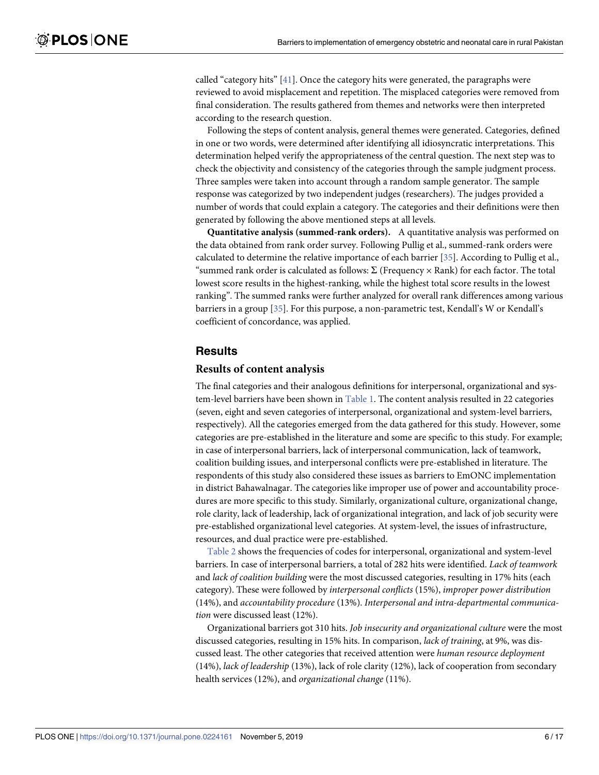<span id="page-5-0"></span>called "category hits"  $[41]$ . Once the category hits were generated, the paragraphs were reviewed to avoid misplacement and repetition. The misplaced categories were removed from final consideration. The results gathered from themes and networks were then interpreted according to the research question.

Following the steps of content analysis, general themes were generated. Categories, defined in one or two words, were determined after identifying all idiosyncratic interpretations. This determination helped verify the appropriateness of the central question. The next step was to check the objectivity and consistency of the categories through the sample judgment process. Three samples were taken into account through a random sample generator. The sample response was categorized by two independent judges (researchers). The judges provided a number of words that could explain a category. The categories and their definitions were then generated by following the above mentioned steps at all levels.

**Quantitative analysis (summed-rank orders).** A quantitative analysis was performed on the data obtained from rank order survey. Following Pullig et al., summed-rank orders were calculated to determine the relative importance of each barrier [\[35\]](#page-15-0). According to Pullig et al., "summed rank order is calculated as follows:  $\Sigma$  (Frequency  $\times$  Rank) for each factor. The total lowest score results in the highest-ranking, while the highest total score results in the lowest ranking". The summed ranks were further analyzed for overall rank differences among various barriers in a group [[35](#page-15-0)]. For this purpose, a non-parametric test, Kendall's W or Kendall's coefficient of concordance, was applied.

# **Results**

#### **Results of content analysis**

The final categories and their analogous definitions for interpersonal, organizational and sys-tem-level barriers have been shown in [Table](#page-6-0) 1. The content analysis resulted in 22 categories (seven, eight and seven categories of interpersonal, organizational and system-level barriers, respectively). All the categories emerged from the data gathered for this study. However, some categories are pre-established in the literature and some are specific to this study. For example; in case of interpersonal barriers, lack of interpersonal communication, lack of teamwork, coalition building issues, and interpersonal conflicts were pre-established in literature. The respondents of this study also considered these issues as barriers to EmONC implementation in district Bahawalnagar. The categories like improper use of power and accountability procedures are more specific to this study. Similarly, organizational culture, organizational change, role clarity, lack of leadership, lack of organizational integration, and lack of job security were pre-established organizational level categories. At system-level, the issues of infrastructure, resources, and dual practice were pre-established.

[Table](#page-7-0) 2 shows the frequencies of codes for interpersonal, organizational and system-level barriers. In case of interpersonal barriers, a total of 282 hits were identified. *Lack of teamwork* and *lack of coalition building* were the most discussed categories, resulting in 17% hits (each category). These were followed by *interpersonal conflicts* (15%), *improper power distribution* (14%), and *accountability procedure* (13%). *Interpersonal and intra-departmental communication* were discussed least (12%).

Organizational barriers got 310 hits. *Job insecurity and organizational culture* were the most discussed categories, resulting in 15% hits. In comparison, *lack of training*, at 9%, was discussed least. The other categories that received attention were *human resource deployment* (14%), *lack of leadership* (13%), lack of role clarity (12%), lack of cooperation from secondary health services (12%), and *organizational change* (11%).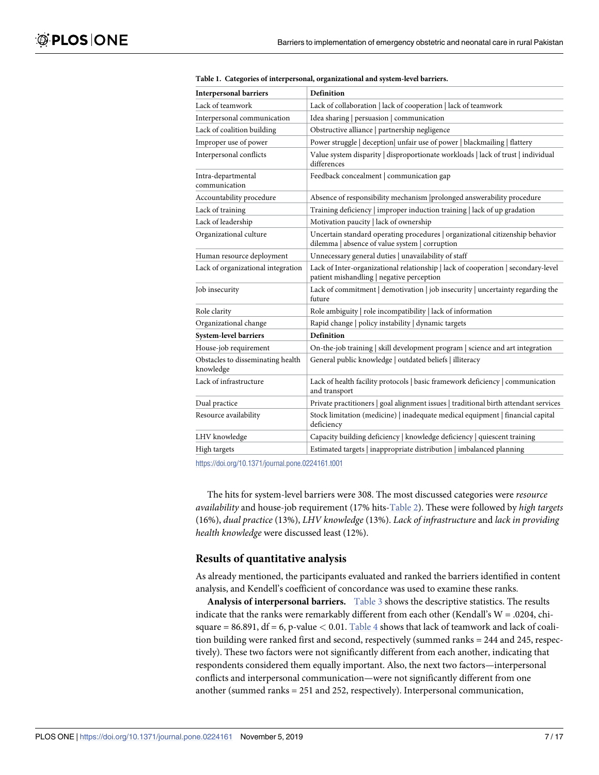| <b>Interpersonal barriers</b>                  | Definition                                                                                                                      |  |  |
|------------------------------------------------|---------------------------------------------------------------------------------------------------------------------------------|--|--|
| Lack of teamwork                               | Lack of collaboration   lack of cooperation   lack of teamwork                                                                  |  |  |
| Interpersonal communication                    | Idea sharing   persuasion   communication                                                                                       |  |  |
| Lack of coalition building                     | Obstructive alliance   partnership negligence                                                                                   |  |  |
| Improper use of power                          | Power struggle   deception   unfair use of power   blackmailing   flattery                                                      |  |  |
| Interpersonal conflicts                        | Value system disparity   disproportionate workloads   lack of trust   individual<br>differences                                 |  |  |
| Intra-departmental<br>communication            | Feedback concealment   communication gap                                                                                        |  |  |
| Accountability procedure                       | Absence of responsibility mechanism  prolonged answerability procedure                                                          |  |  |
| Lack of training                               | Training deficiency   improper induction training   lack of up gradation                                                        |  |  |
| Lack of leadership                             | Motivation paucity   lack of ownership                                                                                          |  |  |
| Organizational culture                         | Uncertain standard operating procedures   organizational citizenship behavior<br>dilemma   absence of value system   corruption |  |  |
| Human resource deployment                      | Unnecessary general duties   unavailability of staff                                                                            |  |  |
| Lack of organizational integration             | Lack of Inter-organizational relationship   lack of cooperation   secondary-level<br>patient mishandling   negative perception  |  |  |
| Job insecurity                                 | Lack of commitment   demotivation   job insecurity   uncertainty regarding the<br>future                                        |  |  |
| Role clarity                                   | Role ambiguity   role incompatibility   lack of information                                                                     |  |  |
| Organizational change                          | Rapid change   policy instability   dynamic targets                                                                             |  |  |
| <b>System-level barriers</b>                   | Definition                                                                                                                      |  |  |
| House-job requirement                          | On-the-job training   skill development program   science and art integration                                                   |  |  |
| Obstacles to disseminating health<br>knowledge | General public knowledge   outdated beliefs   illiteracy                                                                        |  |  |
| Lack of infrastructure                         | Lack of health facility protocols   basic framework deficiency   communication<br>and transport                                 |  |  |
| Dual practice                                  | Private practitioners   goal alignment issues   traditional birth attendant services                                            |  |  |
| Resource availability                          | Stock limitation (medicine)   inadequate medical equipment   financial capital<br>deficiency                                    |  |  |
| LHV knowledge                                  | Capacity building deficiency   knowledge deficiency   quiescent training                                                        |  |  |
| High targets                                   | Estimated targets   inappropriate distribution   imbalanced planning                                                            |  |  |
|                                                |                                                                                                                                 |  |  |

<span id="page-6-0"></span>**[Table](#page-5-0) 1. Categories of interpersonal, organizational and system-level barriers.**

<https://doi.org/10.1371/journal.pone.0224161.t001>

The hits for system-level barriers were 308. The most discussed categories were *resource availability* and house-job requirement (17% hits[-Table](#page-7-0) 2). These were followed by *high targets* (16%), *dual practice* (13%), *LHV knowledge* (13%). *Lack of infrastructure* and *lack in providing health knowledge* were discussed least (12%).

### **Results of quantitative analysis**

As already mentioned, the participants evaluated and ranked the barriers identified in content analysis, and Kendell's coefficient of concordance was used to examine these ranks.

**Analysis of interpersonal barriers.** [Table](#page-7-0) 3 shows the descriptive statistics. The results indicate that the ranks were remarkably different from each other (Kendall's  $W = .0204$ , chisquare  $= 86.891$ ,  $df = 6$ , p-value  $< 0.01$ . [Table](#page-8-0) 4 shows that lack of teamwork and lack of coalition building were ranked first and second, respectively (summed ranks = 244 and 245, respectively). These two factors were not significantly different from each another, indicating that respondents considered them equally important. Also, the next two factors—interpersonal conflicts and interpersonal communication—were not significantly different from one another (summed ranks = 251 and 252, respectively). Interpersonal communication,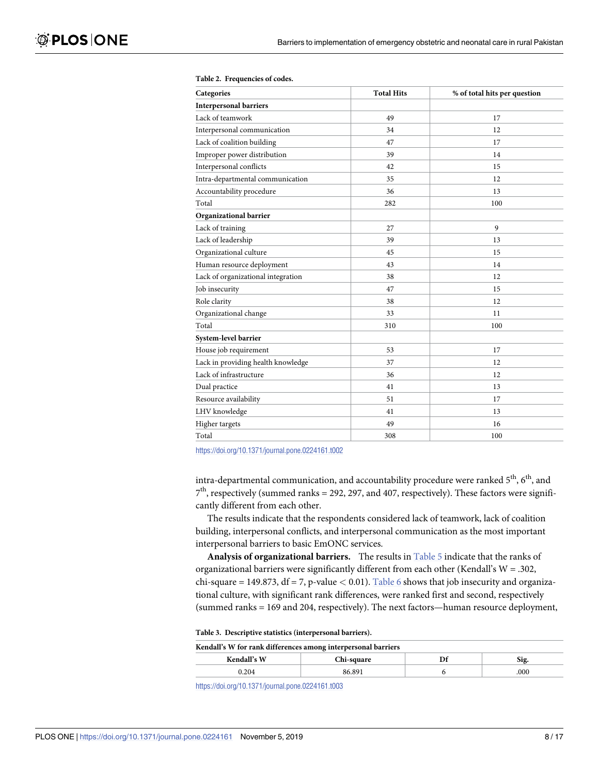| Categories                         | <b>Total Hits</b> | % of total hits per question |
|------------------------------------|-------------------|------------------------------|
| <b>Interpersonal barriers</b>      |                   |                              |
| Lack of teamwork                   | 49                | 17                           |
| Interpersonal communication        | 34                | 12                           |
| Lack of coalition building         | 47                | 17                           |
| Improper power distribution        | 39                | 14                           |
| Interpersonal conflicts            | 42                | 15                           |
| Intra-departmental communication   | 35                | 12                           |
| Accountability procedure           | 36                | 13                           |
| Total                              | 282               | 100                          |
| Organizational barrier             |                   |                              |
| Lack of training                   | 27                | 9                            |
| Lack of leadership                 | 39                | 13                           |
| Organizational culture             | 45                | 15                           |
| Human resource deployment          | 43                | 14                           |
| Lack of organizational integration | 38                | 12                           |
| Job insecurity                     | 47                | 15                           |
| Role clarity                       | 38                | 12                           |
| Organizational change              | 33                | 11                           |
| Total                              | 310               | 100                          |
| System-level barrier               |                   |                              |
| House job requirement              | 53                | 17                           |
| Lack in providing health knowledge | 37                | 12                           |
| Lack of infrastructure             | 36                | 12                           |
| Dual practice                      | 41                | 13                           |
| Resource availability              | 51                | 17                           |
| LHV knowledge                      | 41                | 13                           |
| Higher targets                     | 49                | 16                           |
| Total                              | 308               | 100                          |

#### <span id="page-7-0"></span>**[Table](#page-5-0) 2. Frequencies of codes.**

<https://doi.org/10.1371/journal.pone.0224161.t002>

intra-departmental communication, and accountability procedure were ranked  $5<sup>th</sup>$ ,  $6<sup>th</sup>$ , and  $7<sup>th</sup>$ , respectively (summed ranks = 292, 297, and 407, respectively). These factors were significantly different from each other.

The results indicate that the respondents considered lack of teamwork, lack of coalition building, interpersonal conflicts, and interpersonal communication as the most important interpersonal barriers to basic EmONC services.

**Analysis of organizational barriers.** The results in [Table](#page-8-0) 5 indicate that the ranks of organizational barriers were significantly different from each other (Kendall's  $W = .302$ , chi-square = 149.873,  $df = 7$ , p-value  $< 0.01$ ). [Table](#page-8-0) 6 shows that job insecurity and organizational culture, with significant rank differences, were ranked first and second, respectively (summed ranks = 169 and 204, respectively). The next factors—human resource deployment,

**[Table](#page-6-0) 3. Descriptive statistics (interpersonal barriers).**

| Kendall's W for rank differences among interpersonal barriers |        |  |      |  |  |
|---------------------------------------------------------------|--------|--|------|--|--|
| Kendall's W<br>Sig.<br>Chi-square                             |        |  |      |  |  |
| 0.204                                                         | 86.891 |  | .000 |  |  |

<https://doi.org/10.1371/journal.pone.0224161.t003>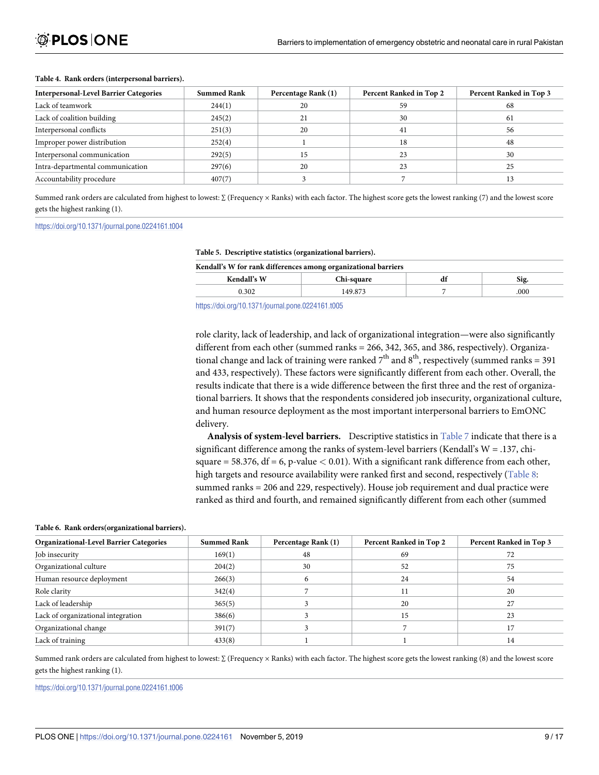#### <span id="page-8-0"></span>**[Table](#page-6-0) 4. Rank orders (interpersonal barriers).**

| <b>Interpersonal-Level Barrier Categories</b> | <b>Summed Rank</b> | Percentage Rank (1) | Percent Ranked in Top 2 | Percent Ranked in Top 3 |
|-----------------------------------------------|--------------------|---------------------|-------------------------|-------------------------|
| Lack of teamwork                              | 244(1)             | 20                  | 59                      | 68                      |
| Lack of coalition building                    | 245(2)             | 21                  | 30                      | 61                      |
| Interpersonal conflicts                       | 251(3)             | 20                  | 41                      | 56                      |
| Improper power distribution                   | 252(4)             |                     | 18                      | 48                      |
| Interpersonal communication                   | 292(5)             | 15                  | 23                      | 30                      |
| Intra-departmental communication              | 297(6)             | 20                  | 23                      | 25                      |
| Accountability procedure                      | 407(7)             |                     |                         |                         |

Summed rank orders are calculated from highest to lowest: ∑ (Frequency × Ranks) with each factor. The highest score gets the lowest ranking (7) and the lowest score gets the highest ranking (1).

#### <https://doi.org/10.1371/journal.pone.0224161.t004>

**[Table](#page-7-0) 5. Descriptive statistics (organizational barriers).**

| Kendall's W for rank differences among organizational barriers |                   |  |      |  |  |
|----------------------------------------------------------------|-------------------|--|------|--|--|
| Kendall's W                                                    | <b>Chi-square</b> |  | Sig. |  |  |
| 0.302                                                          | 149.873           |  | .000 |  |  |

<https://doi.org/10.1371/journal.pone.0224161.t005>

role clarity, lack of leadership, and lack of organizational integration—were also significantly different from each other (summed ranks = 266, 342, 365, and 386, respectively). Organizational change and lack of training were ranked  $7<sup>th</sup>$  and  $8<sup>th</sup>$ , respectively (summed ranks = 391) and 433, respectively). These factors were significantly different from each other. Overall, the results indicate that there is a wide difference between the first three and the rest of organizational barriers. It shows that the respondents considered job insecurity, organizational culture, and human resource deployment as the most important interpersonal barriers to EmONC delivery.

**Analysis of system-level barriers.** Descriptive statistics in [Table](#page-9-0) 7 indicate that there is a significant difference among the ranks of system-level barriers (Kendall's  $W = .137$ , chisquare = 58.376, df = 6, p-value *<* 0.01). With a significant rank difference from each other, high targets and resource availability were ranked first and second, respectively [\(Table](#page-9-0) 8: summed ranks = 206 and 229, respectively). House job requirement and dual practice were ranked as third and fourth, and remained significantly different from each other (summed

| <b>Organizational-Level Barrier Categories</b> | <b>Summed Rank</b> | Percentage Rank (1) | Percent Ranked in Top 2 | Percent Ranked in Top 3 |
|------------------------------------------------|--------------------|---------------------|-------------------------|-------------------------|
| Job insecurity                                 | 169(1)             | 48                  | 69                      | 72                      |
| Organizational culture                         | 204(2)             | 30                  | 52                      | 75                      |
| Human resource deployment                      | 266(3)             |                     | 24                      | 54                      |
| Role clarity                                   | 342(4)             |                     |                         | 20                      |
| Lack of leadership                             | 365(5)             |                     | 20                      | 27                      |
| Lack of organizational integration             | 386(6)             |                     | 15                      | 23                      |
| Organizational change                          | 391(7)             |                     |                         |                         |
| Lack of training                               | 433(8)             |                     |                         | 14                      |

#### **[Table](#page-7-0) 6. Rank orders(organizational barriers).**

Summed rank orders are calculated from highest to lowest: Σ (Frequency × Ranks) with each factor. The highest score gets the lowest ranking (8) and the lowest score gets the highest ranking (1).

<https://doi.org/10.1371/journal.pone.0224161.t006>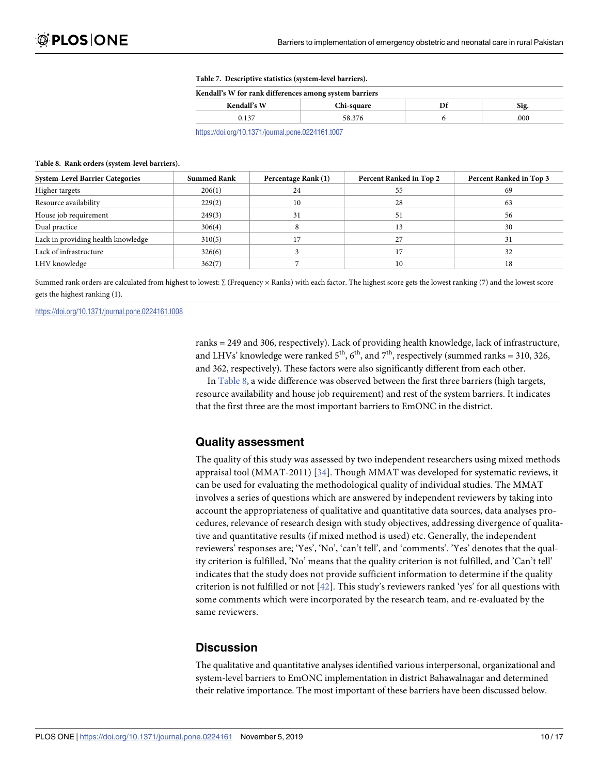| Kendall's W for rank differences among system barriers |            |  |      |  |
|--------------------------------------------------------|------------|--|------|--|
| Kendall's W                                            | Chi-square |  | Sig  |  |
| 0.137                                                  | 58.376     |  | .000 |  |

#### **[Table](#page-8-0) 7. Descriptive statistics (system-level barriers).**

<https://doi.org/10.1371/journal.pone.0224161.t007>

#### <span id="page-9-0"></span>**[Table](#page-8-0) 8. Rank orders (system-level barriers).**

| <b>System-Level Barrier Categories</b> | <b>Summed Rank</b> | Percentage Rank (1) | Percent Ranked in Top 2 | Percent Ranked in Top 3 |
|----------------------------------------|--------------------|---------------------|-------------------------|-------------------------|
| Higher targets                         | 206(1)             | 24                  | 55                      | 69                      |
| Resource availability                  | 229(2)             | 10                  | 28                      | 63                      |
| House job requirement                  | 249(3)             | 31                  | 51                      | 56                      |
| Dual practice                          | 306(4)             |                     |                         | 30                      |
| Lack in providing health knowledge     | 310(5)             |                     |                         |                         |
| Lack of infrastructure                 | 326(6)             |                     |                         | 32                      |
| LHV knowledge                          | 362(7)             |                     | 10                      |                         |

Summed rank orders are calculated from highest to lowest: ∑ (Frequency × Ranks) with each factor. The highest score gets the lowest ranking (7) and the lowest score gets the highest ranking (1).

<https://doi.org/10.1371/journal.pone.0224161.t008>

ranks = 249 and 306, respectively). Lack of providing health knowledge, lack of infrastructure, and LHVs' knowledge were ranked  $5<sup>th</sup>$ ,  $6<sup>th</sup>$ , and  $7<sup>th</sup>$ , respectively (summed ranks = 310, 326, and 362, respectively). These factors were also significantly different from each other.

In Table 8, a wide difference was observed between the first three barriers (high targets, resource availability and house job requirement) and rest of the system barriers. It indicates that the first three are the most important barriers to EmONC in the district.

# **Quality assessment**

The quality of this study was assessed by two independent researchers using mixed methods appraisal tool (MMAT-2011) [\[34\]](#page-15-0). Though MMAT was developed for systematic reviews, it can be used for evaluating the methodological quality of individual studies. The MMAT involves a series of questions which are answered by independent reviewers by taking into account the appropriateness of qualitative and quantitative data sources, data analyses procedures, relevance of research design with study objectives, addressing divergence of qualitative and quantitative results (if mixed method is used) etc. Generally, the independent reviewers' responses are; 'Yes', 'No', 'can't tell', and 'comments'. 'Yes' denotes that the quality criterion is fulfilled, 'No' means that the quality criterion is not fulfilled, and 'Can't tell' indicates that the study does not provide sufficient information to determine if the quality criterion is not fulfilled or not [\[42](#page-16-0)]. This study's reviewers ranked 'yes' for all questions with some comments which were incorporated by the research team, and re-evaluated by the same reviewers.

# **Discussion**

The qualitative and quantitative analyses identified various interpersonal, organizational and system-level barriers to EmONC implementation in district Bahawalnagar and determined their relative importance. The most important of these barriers have been discussed below.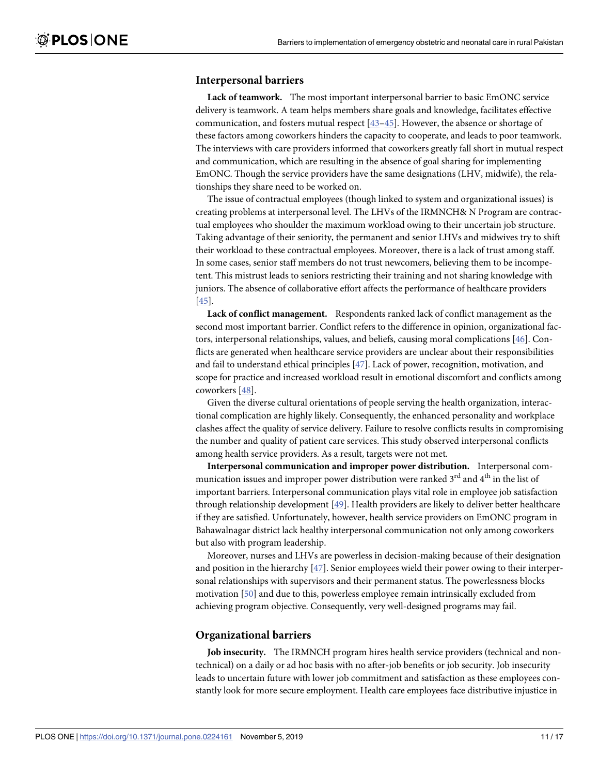## <span id="page-10-0"></span>**Interpersonal barriers**

**Lack of teamwork.** The most important interpersonal barrier to basic EmONC service delivery is teamwork. A team helps members share goals and knowledge, facilitates effective communication, and fosters mutual respect  $[43-45]$ . However, the absence or shortage of these factors among coworkers hinders the capacity to cooperate, and leads to poor teamwork. The interviews with care providers informed that coworkers greatly fall short in mutual respect and communication, which are resulting in the absence of goal sharing for implementing EmONC. Though the service providers have the same designations (LHV, midwife), the relationships they share need to be worked on.

The issue of contractual employees (though linked to system and organizational issues) is creating problems at interpersonal level. The LHVs of the IRMNCH& N Program are contractual employees who shoulder the maximum workload owing to their uncertain job structure. Taking advantage of their seniority, the permanent and senior LHVs and midwives try to shift their workload to these contractual employees. Moreover, there is a lack of trust among staff. In some cases, senior staff members do not trust newcomers, believing them to be incompetent. This mistrust leads to seniors restricting their training and not sharing knowledge with juniors. The absence of collaborative effort affects the performance of healthcare providers [\[45\]](#page-16-0).

**Lack of conflict management.** Respondents ranked lack of conflict management as the second most important barrier. Conflict refers to the difference in opinion, organizational factors, interpersonal relationships, values, and beliefs, causing moral complications [\[46\]](#page-16-0). Conflicts are generated when healthcare service providers are unclear about their responsibilities and fail to understand ethical principles [\[47\]](#page-16-0). Lack of power, recognition, motivation, and scope for practice and increased workload result in emotional discomfort and conflicts among coworkers [\[48\]](#page-16-0).

Given the diverse cultural orientations of people serving the health organization, interactional complication are highly likely. Consequently, the enhanced personality and workplace clashes affect the quality of service delivery. Failure to resolve conflicts results in compromising the number and quality of patient care services. This study observed interpersonal conflicts among health service providers. As a result, targets were not met.

**Interpersonal communication and improper power distribution.** Interpersonal communication issues and improper power distribution were ranked  $3^{\text{rd}}$  and  $4^{\text{th}}$  in the list of important barriers. Interpersonal communication plays vital role in employee job satisfaction through relationship development [[49](#page-16-0)]. Health providers are likely to deliver better healthcare if they are satisfied. Unfortunately, however, health service providers on EmONC program in Bahawalnagar district lack healthy interpersonal communication not only among coworkers but also with program leadership.

Moreover, nurses and LHVs are powerless in decision-making because of their designation and position in the hierarchy [[47](#page-16-0)]. Senior employees wield their power owing to their interpersonal relationships with supervisors and their permanent status. The powerlessness blocks motivation [[50](#page-16-0)] and due to this, powerless employee remain intrinsically excluded from achieving program objective. Consequently, very well-designed programs may fail.

# **Organizational barriers**

**Job insecurity.** The IRMNCH program hires health service providers (technical and nontechnical) on a daily or ad hoc basis with no after-job benefits or job security. Job insecurity leads to uncertain future with lower job commitment and satisfaction as these employees constantly look for more secure employment. Health care employees face distributive injustice in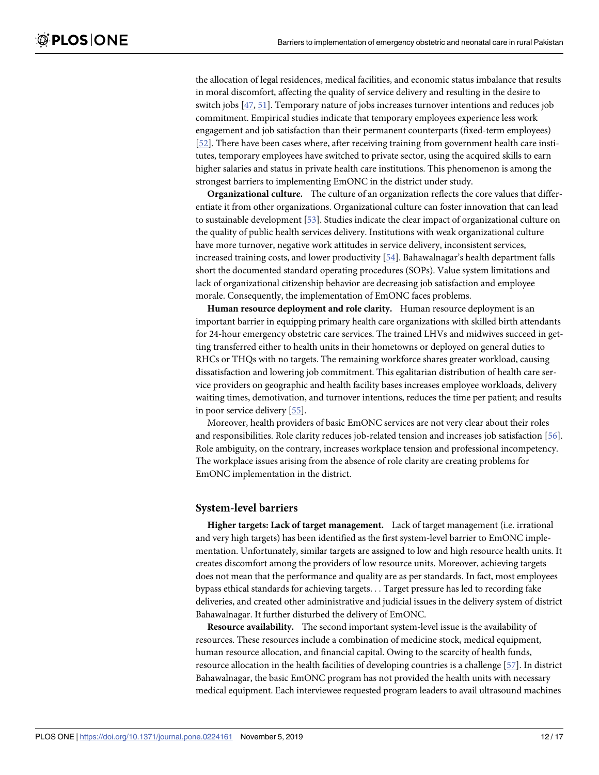<span id="page-11-0"></span>the allocation of legal residences, medical facilities, and economic status imbalance that results in moral discomfort, affecting the quality of service delivery and resulting in the desire to switch jobs [[47](#page-16-0), [51](#page-16-0)]. Temporary nature of jobs increases turnover intentions and reduces job commitment. Empirical studies indicate that temporary employees experience less work engagement and job satisfaction than their permanent counterparts (fixed-term employees) [\[52\]](#page-16-0). There have been cases where, after receiving training from government health care institutes, temporary employees have switched to private sector, using the acquired skills to earn higher salaries and status in private health care institutions. This phenomenon is among the strongest barriers to implementing EmONC in the district under study.

**Organizational culture.** The culture of an organization reflects the core values that differentiate it from other organizations. Organizational culture can foster innovation that can lead to sustainable development [\[53\]](#page-16-0). Studies indicate the clear impact of organizational culture on the quality of public health services delivery. Institutions with weak organizational culture have more turnover, negative work attitudes in service delivery, inconsistent services, increased training costs, and lower productivity [[54](#page-16-0)]. Bahawalnagar's health department falls short the documented standard operating procedures (SOPs). Value system limitations and lack of organizational citizenship behavior are decreasing job satisfaction and employee morale. Consequently, the implementation of EmONC faces problems.

**Human resource deployment and role clarity.** Human resource deployment is an important barrier in equipping primary health care organizations with skilled birth attendants for 24-hour emergency obstetric care services. The trained LHVs and midwives succeed in getting transferred either to health units in their hometowns or deployed on general duties to RHCs or THQs with no targets. The remaining workforce shares greater workload, causing dissatisfaction and lowering job commitment. This egalitarian distribution of health care service providers on geographic and health facility bases increases employee workloads, delivery waiting times, demotivation, and turnover intentions, reduces the time per patient; and results in poor service delivery [\[55\]](#page-16-0).

Moreover, health providers of basic EmONC services are not very clear about their roles and responsibilities. Role clarity reduces job-related tension and increases job satisfaction [\[56\]](#page-16-0). Role ambiguity, on the contrary, increases workplace tension and professional incompetency. The workplace issues arising from the absence of role clarity are creating problems for EmONC implementation in the district.

# **System-level barriers**

**Higher targets: Lack of target management.** Lack of target management (i.e. irrational and very high targets) has been identified as the first system-level barrier to EmONC implementation. Unfortunately, similar targets are assigned to low and high resource health units. It creates discomfort among the providers of low resource units. Moreover, achieving targets does not mean that the performance and quality are as per standards. In fact, most employees bypass ethical standards for achieving targets. . . Target pressure has led to recording fake deliveries, and created other administrative and judicial issues in the delivery system of district Bahawalnagar. It further disturbed the delivery of EmONC.

**Resource availability.** The second important system-level issue is the availability of resources. These resources include a combination of medicine stock, medical equipment, human resource allocation, and financial capital. Owing to the scarcity of health funds, resource allocation in the health facilities of developing countries is a challenge [\[57\]](#page-16-0). In district Bahawalnagar, the basic EmONC program has not provided the health units with necessary medical equipment. Each interviewee requested program leaders to avail ultrasound machines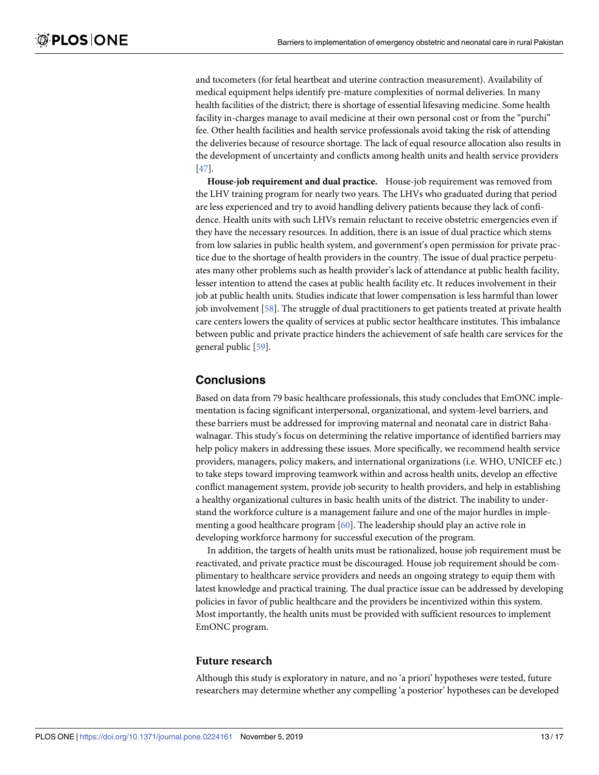<span id="page-12-0"></span>and tocometers (for fetal heartbeat and uterine contraction measurement). Availability of medical equipment helps identify pre-mature complexities of normal deliveries. In many health facilities of the district; there is shortage of essential lifesaving medicine. Some health facility in-charges manage to avail medicine at their own personal cost or from the "purchi" fee. Other health facilities and health service professionals avoid taking the risk of attending the deliveries because of resource shortage. The lack of equal resource allocation also results in the development of uncertainty and conflicts among health units and health service providers [\[47\]](#page-16-0).

**House-job requirement and dual practice.** House-job requirement was removed from the LHV training program for nearly two years. The LHVs who graduated during that period are less experienced and try to avoid handling delivery patients because they lack of confidence. Health units with such LHVs remain reluctant to receive obstetric emergencies even if they have the necessary resources. In addition, there is an issue of dual practice which stems from low salaries in public health system, and government's open permission for private practice due to the shortage of health providers in the country. The issue of dual practice perpetuates many other problems such as health provider's lack of attendance at public health facility, lesser intention to attend the cases at public health facility etc. It reduces involvement in their job at public health units. Studies indicate that lower compensation is less harmful than lower job involvement [\[58\]](#page-16-0). The struggle of dual practitioners to get patients treated at private health care centers lowers the quality of services at public sector healthcare institutes. This imbalance between public and private practice hinders the achievement of safe health care services for the general public [[59](#page-16-0)].

# **Conclusions**

Based on data from 79 basic healthcare professionals, this study concludes that EmONC implementation is facing significant interpersonal, organizational, and system-level barriers, and these barriers must be addressed for improving maternal and neonatal care in district Bahawalnagar. This study's focus on determining the relative importance of identified barriers may help policy makers in addressing these issues. More specifically, we recommend health service providers, managers, policy makers, and international organizations (i.e. WHO, UNICEF etc.) to take steps toward improving teamwork within and across health units, develop an effective conflict management system, provide job security to health providers, and help in establishing a healthy organizational cultures in basic health units of the district. The inability to understand the workforce culture is a management failure and one of the major hurdles in implementing a good healthcare program [\[60\]](#page-16-0). The leadership should play an active role in developing workforce harmony for successful execution of the program.

In addition, the targets of health units must be rationalized, house job requirement must be reactivated, and private practice must be discouraged. House job requirement should be complimentary to healthcare service providers and needs an ongoing strategy to equip them with latest knowledge and practical training. The dual practice issue can be addressed by developing policies in favor of public healthcare and the providers be incentivized within this system. Most importantly, the health units must be provided with sufficient resources to implement EmONC program.

### **Future research**

Although this study is exploratory in nature, and no 'a priori' hypotheses were tested, future researchers may determine whether any compelling 'a posterior' hypotheses can be developed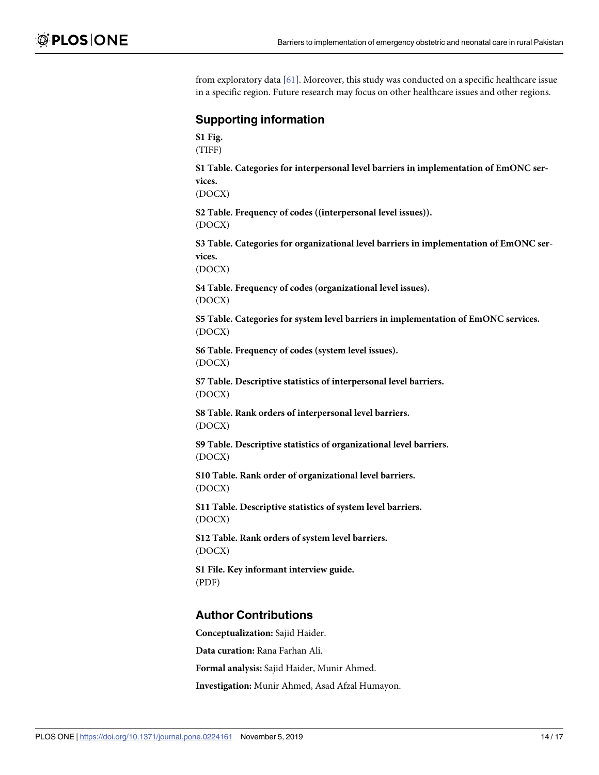<span id="page-13-0"></span>from exploratory data [[61](#page-16-0)]. Moreover, this study was conducted on a specific healthcare issue in a specific region. Future research may focus on other healthcare issues and other regions.

# **Supporting information**

**S1 [Fig](http://www.plosone.org/article/fetchSingleRepresentation.action?uri=info:doi/10.1371/journal.pone.0224161.s001).** (TIFF)

**S1 [Table.](http://www.plosone.org/article/fetchSingleRepresentation.action?uri=info:doi/10.1371/journal.pone.0224161.s002) Categories for interpersonal level barriers in implementation of EmONC services.**

(DOCX)

**S2 [Table.](http://www.plosone.org/article/fetchSingleRepresentation.action?uri=info:doi/10.1371/journal.pone.0224161.s003) Frequency of codes ((interpersonal level issues)).** (DOCX)

**S3 [Table.](http://www.plosone.org/article/fetchSingleRepresentation.action?uri=info:doi/10.1371/journal.pone.0224161.s004) Categories for organizational level barriers in implementation of EmONC services.**

(DOCX)

**S4 [Table.](http://www.plosone.org/article/fetchSingleRepresentation.action?uri=info:doi/10.1371/journal.pone.0224161.s005) Frequency of codes (organizational level issues).** (DOCX)

**S5 [Table.](http://www.plosone.org/article/fetchSingleRepresentation.action?uri=info:doi/10.1371/journal.pone.0224161.s006) Categories for system level barriers in implementation of EmONC services.** (DOCX)

**S6 [Table.](http://www.plosone.org/article/fetchSingleRepresentation.action?uri=info:doi/10.1371/journal.pone.0224161.s007) Frequency of codes (system level issues).** (DOCX)

**S7 [Table.](http://www.plosone.org/article/fetchSingleRepresentation.action?uri=info:doi/10.1371/journal.pone.0224161.s008) Descriptive statistics of interpersonal level barriers.** (DOCX)

**S8 [Table.](http://www.plosone.org/article/fetchSingleRepresentation.action?uri=info:doi/10.1371/journal.pone.0224161.s009) Rank orders of interpersonal level barriers.** (DOCX)

**S9 [Table.](http://www.plosone.org/article/fetchSingleRepresentation.action?uri=info:doi/10.1371/journal.pone.0224161.s010) Descriptive statistics of organizational level barriers.** (DOCX)

**S10 [Table.](http://www.plosone.org/article/fetchSingleRepresentation.action?uri=info:doi/10.1371/journal.pone.0224161.s011) Rank order of organizational level barriers.** (DOCX)

**S11 [Table.](http://www.plosone.org/article/fetchSingleRepresentation.action?uri=info:doi/10.1371/journal.pone.0224161.s012) Descriptive statistics of system level barriers.** (DOCX)

**S12 [Table.](http://www.plosone.org/article/fetchSingleRepresentation.action?uri=info:doi/10.1371/journal.pone.0224161.s013) Rank orders of system level barriers.** (DOCX)

**S1 [File.](http://www.plosone.org/article/fetchSingleRepresentation.action?uri=info:doi/10.1371/journal.pone.0224161.s014) Key informant interview guide.** (PDF)

# **Author Contributions**

**Conceptualization:** Sajid Haider. **Data curation:** Rana Farhan Ali. **Formal analysis:** Sajid Haider, Munir Ahmed. **Investigation:** Munir Ahmed, Asad Afzal Humayon.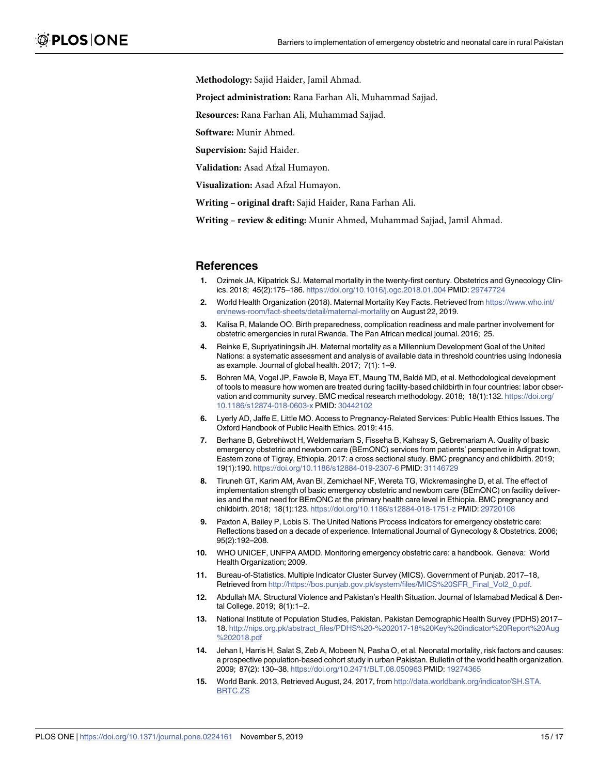<span id="page-14-0"></span>**Methodology:** Sajid Haider, Jamil Ahmad.

**Project administration:** Rana Farhan Ali, Muhammad Sajjad.

**Resources:** Rana Farhan Ali, Muhammad Sajjad.

**Software:** Munir Ahmed.

**Supervision:** Sajid Haider.

**Validation:** Asad Afzal Humayon.

**Visualization:** Asad Afzal Humayon.

**Writing – original draft:** Sajid Haider, Rana Farhan Ali.

**Writing – review & editing:** Munir Ahmed, Muhammad Sajjad, Jamil Ahmad.

#### **References**

- **[1](#page-1-0).** Ozimek JA, Kilpatrick SJ. Maternal mortality in the twenty-first century. Obstetrics and Gynecology Clinics. 2018; 45(2):175–186. <https://doi.org/10.1016/j.ogc.2018.01.004> PMID: [29747724](http://www.ncbi.nlm.nih.gov/pubmed/29747724)
- **[2](#page-1-0).** World Health Organization (2018). Maternal Mortality Key Facts. Retrieved from [https://www.who.int/](https://www.who.int/en/news-room/fact-sheets/detail/maternal-mortality) [en/news-room/fact-sheets/detail/maternal-mortality](https://www.who.int/en/news-room/fact-sheets/detail/maternal-mortality) on August 22, 2019.
- **[3](#page-1-0).** Kalisa R, Malande OO. Birth preparedness, complication readiness and male partner involvement for obstetric emergencies in rural Rwanda. The Pan African medical journal. 2016; 25.
- **[4](#page-1-0).** Reinke E, Supriyatiningsih JH. Maternal mortality as a Millennium Development Goal of the United Nations: a systematic assessment and analysis of available data in threshold countries using Indonesia as example. Journal of global health. 2017; 7(1): 1–9.
- **[5](#page-1-0).** Bohren MA, Vogel JP, Fawole B, Maya ET, Maung TM, Balde´ MD, et al. Methodological development of tools to measure how women are treated during facility-based childbirth in four countries: labor observation and community survey. BMC medical research methodology. 2018; 18(1):132. [https://doi.org/](https://doi.org/10.1186/s12874-018-0603-x) [10.1186/s12874-018-0603-x](https://doi.org/10.1186/s12874-018-0603-x) PMID: [30442102](http://www.ncbi.nlm.nih.gov/pubmed/30442102)
- **[6](#page-1-0).** Lyerly AD, Jaffe E, Little MO. Access to Pregnancy-Related Services: Public Health Ethics Issues. The Oxford Handbook of Public Health Ethics. 2019: 415.
- **[7](#page-1-0).** Berhane B, Gebrehiwot H, Weldemariam S, Fisseha B, Kahsay S, Gebremariam A. Quality of basic emergency obstetric and newborn care (BEmONC) services from patients' perspective in Adigrat town, Eastern zone of Tigray, Ethiopia. 2017: a cross sectional study. BMC pregnancy and childbirth. 2019; 19(1):190. <https://doi.org/10.1186/s12884-019-2307-6> PMID: [31146729](http://www.ncbi.nlm.nih.gov/pubmed/31146729)
- **[8](#page-1-0).** Tiruneh GT, Karim AM, Avan BI, Zemichael NF, Wereta TG, Wickremasinghe D, et al. The effect of implementation strength of basic emergency obstetric and newborn care (BEmONC) on facility deliveries and the met need for BEmONC at the primary health care level in Ethiopia. BMC pregnancy and childbirth. 2018; 18(1):123. <https://doi.org/10.1186/s12884-018-1751-z> PMID: [29720108](http://www.ncbi.nlm.nih.gov/pubmed/29720108)
- **[9](#page-1-0).** Paxton A, Bailey P, Lobis S. The United Nations Process Indicators for emergency obstetric care: Reflections based on a decade of experience. International Journal of Gynecology & Obstetrics. 2006; 95(2):192–208.
- **[10](#page-1-0).** WHO UNICEF, UNFPA AMDD. Monitoring emergency obstetric care: a handbook. Geneva: World Health Organization; 2009.
- **[11](#page-1-0).** Bureau-of-Statistics. Multiple Indicator Cluster Survey (MICS). Government of Punjab. 2017–18, Retrieved from [http://https://bos.punjab.gov.pk/system/files/MICS%20SFR\\_Final\\_Vol2\\_0.pdf.](http://https://bos.punjab.gov.pk/system/files/MICS%20SFR_Final_Vol2_0.pdf)
- **[12](#page-1-0).** Abdullah MA. Structural Violence and Pakistan's Health Situation. Journal of Islamabad Medical & Dental College. 2019; 8(1):1–2.
- **[13](#page-1-0).** National Institute of Population Studies, Pakistan. Pakistan Demographic Health Survey (PDHS) 2017– 18. [http://nips.org.pk/abstract\\_files/PDHS%20-%202017-18%20Key%20indicator%20Report%20Aug](http://nips.org.pk/abstract_files/PDHS%20-%202017-18%20Key%20indicator%20Report%20Aug%202018.pdf) [%202018.pdf](http://nips.org.pk/abstract_files/PDHS%20-%202017-18%20Key%20indicator%20Report%20Aug%202018.pdf)
- **[14](#page-1-0).** Jehan I, Harris H, Salat S, Zeb A, Mobeen N, Pasha O, et al. Neonatal mortality, risk factors and causes: a prospective population-based cohort study in urban Pakistan. Bulletin of the world health organization. 2009; 87(2): 130–38. <https://doi.org/10.2471/BLT.08.050963> PMID: [19274365](http://www.ncbi.nlm.nih.gov/pubmed/19274365)
- **[15](#page-1-0).** World Bank. 2013, Retrieved August, 24, 2017, from [http://data.worldbank.org/indicator/SH.STA.](http://data.worldbank.org/indicator/SH.STA.BRTC.ZS) [BRTC.ZS](http://data.worldbank.org/indicator/SH.STA.BRTC.ZS)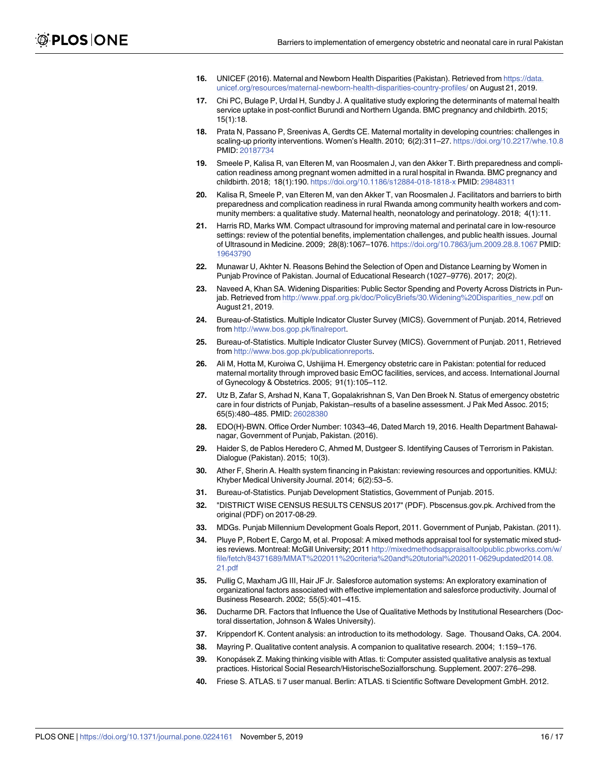- <span id="page-15-0"></span>**[16](#page-1-0).** UNICEF (2016). Maternal and Newborn Health Disparities (Pakistan). Retrieved from [https://data.](https://data.unicef.org/resources/maternal-newborn-health-disparities-country-profiles/) [unicef.org/resources/maternal-newborn-health-disparities-country-profiles/](https://data.unicef.org/resources/maternal-newborn-health-disparities-country-profiles/) on August 21, 2019.
- **[17](#page-1-0).** Chi PC, Bulage P, Urdal H, Sundby J. A qualitative study exploring the determinants of maternal health service uptake in post-conflict Burundi and Northern Uganda. BMC pregnancy and childbirth. 2015; 15(1):18.
- **[18](#page-1-0).** Prata N, Passano P, Sreenivas A, Gerdts CE. Maternal mortality in developing countries: challenges in scaling-up priority interventions. Women's Health. 2010; 6(2):311–27. <https://doi.org/10.2217/whe.10.8> PMID: [20187734](http://www.ncbi.nlm.nih.gov/pubmed/20187734)
- **[19](#page-1-0).** Smeele P, Kalisa R, van Elteren M, van Roosmalen J, van den Akker T. Birth preparedness and complication readiness among pregnant women admitted in a rural hospital in Rwanda. BMC pregnancy and childbirth. 2018; 18(1):190. <https://doi.org/10.1186/s12884-018-1818-x> PMID: [29848311](http://www.ncbi.nlm.nih.gov/pubmed/29848311)
- **[20](#page-1-0).** Kalisa R, Smeele P, van Elteren M, van den Akker T, van Roosmalen J. Facilitators and barriers to birth preparedness and complication readiness in rural Rwanda among community health workers and community members: a qualitative study. Maternal health, neonatology and perinatology. 2018; 4(1):11.
- **[21](#page-1-0).** Harris RD, Marks WM. Compact ultrasound for improving maternal and perinatal care in low-resource settings: review of the potential benefits, implementation challenges, and public health issues. Journal of Ultrasound in Medicine. 2009; 28(8):1067–1076. <https://doi.org/10.7863/jum.2009.28.8.1067> PMID: [19643790](http://www.ncbi.nlm.nih.gov/pubmed/19643790)
- **[22](#page-2-0).** Munawar U, Akhter N. Reasons Behind the Selection of Open and Distance Learning by Women in Punjab Province of Pakistan. Journal of Educational Research (1027–9776). 2017; 20(2).
- **[23](#page-2-0).** Naveed A, Khan SA. Widening Disparities: Public Sector Spending and Poverty Across Districts in Punjab. Retrieved from [http://www.ppaf.org.pk/doc/PolicyBriefs/30.Widening%20Disparities\\_new.pdf](http://www.ppaf.org.pk/doc/PolicyBriefs/30.Widening%20Disparities_new.pdf) on August 21, 2019.
- **[24](#page-2-0).** Bureau-of-Statistics. Multiple Indicator Cluster Survey (MICS). Government of Punjab. 2014, Retrieved from [http://www.bos.gop.pk/finalreport.](http://www.bos.gop.pk/finalreport)
- **[25](#page-2-0).** Bureau-of-Statistics. Multiple Indicator Cluster Survey (MICS). Government of Punjab. 2011, Retrieved from [http://www.bos.gop.pk/publicationreports.](http://www.bos.gop.pk/publicationreports)
- **[26](#page-2-0).** Ali M, Hotta M, Kuroiwa C, Ushijima H. Emergency obstetric care in Pakistan: potential for reduced maternal mortality through improved basic EmOC facilities, services, and access. International Journal of Gynecology & Obstetrics. 2005; 91(1):105–112.
- **[27](#page-2-0).** Utz B, Zafar S, Arshad N, Kana T, Gopalakrishnan S, Van Den Broek N. Status of emergency obstetric care in four districts of Punjab, Pakistan–results of a baseline assessment. J Pak Med Assoc. 2015; 65(5):480–485. PMID: [26028380](http://www.ncbi.nlm.nih.gov/pubmed/26028380)
- **[28](#page-2-0).** EDO(H)-BWN. Office Order Number: 10343–46, Dated March 19, 2016. Health Department Bahawalnagar, Government of Punjab, Pakistan. (2016).
- **[29](#page-2-0).** Haider S, de Pablos Heredero C, Ahmed M, Dustgeer S. Identifying Causes of Terrorism in Pakistan. Dialogue (Pakistan). 2015; 10(3).
- **[30](#page-2-0).** Ather F, Sherin A. Health system financing in Pakistan: reviewing resources and opportunities. KMUJ: Khyber Medical University Journal. 2014; 6(2):53–5.
- **[31](#page-3-0).** Bureau-of-Statistics. Punjab Development Statistics, Government of Punjab. 2015.
- **[32](#page-3-0).** "DISTRICT WISE CENSUS RESULTS CENSUS 2017" (PDF). Pbscensus.gov.pk. Archived from the original (PDF) on 2017-08-29.
- **[33](#page-3-0).** MDGs. Punjab Millennium Development Goals Report, 2011. Government of Punjab, Pakistan. (2011).
- **[34](#page-3-0).** Pluye P, Robert E, Cargo M, et al. Proposal: A mixed methods appraisal tool for systematic mixed studies reviews. Montreal: McGill University; 2011 [http://mixedmethodsappraisaltoolpublic.pbworks.com/w/](http://mixedmethodsappraisaltoolpublic.pbworks.com/w/file/fetch/84371689/MMAT%202011%20criteria%20and%20tutorial%202011-0629updated2014.08.21.pdf) [file/fetch/84371689/MMAT%202011%20criteria%20and%20tutorial%202011-0629updated2014.08.](http://mixedmethodsappraisaltoolpublic.pbworks.com/w/file/fetch/84371689/MMAT%202011%20criteria%20and%20tutorial%202011-0629updated2014.08.21.pdf) [21.pdf](http://mixedmethodsappraisaltoolpublic.pbworks.com/w/file/fetch/84371689/MMAT%202011%20criteria%20and%20tutorial%202011-0629updated2014.08.21.pdf)
- **[35](#page-4-0).** Pullig C, Maxham JG III, Hair JF Jr. Salesforce automation systems: An exploratory examination of organizational factors associated with effective implementation and salesforce productivity. Journal of Business Research. 2002; 55(5):401–415.
- **[36](#page-4-0).** Ducharme DR. Factors that Influence the Use of Qualitative Methods by Institutional Researchers (Doctoral dissertation, Johnson & Wales University).
- **[37](#page-4-0).** Krippendorf K. Content analysis: an introduction to its methodology. Sage. Thousand Oaks, CA. 2004.
- **[38](#page-4-0).** Mayring P. Qualitative content analysis. A companion to qualitative research. 2004; 1:159–176.
- **[39](#page-4-0).** Konopásek Z. Making thinking visible with Atlas. ti: Computer assisted qualitative analysis as textual practices. Historical Social Research/HistorischeSozialforschung. Supplement. 2007: 276–298.
- **[40](#page-4-0).** Friese S. ATLAS. ti 7 user manual. Berlin: ATLAS. ti Scientific Software Development GmbH. 2012.